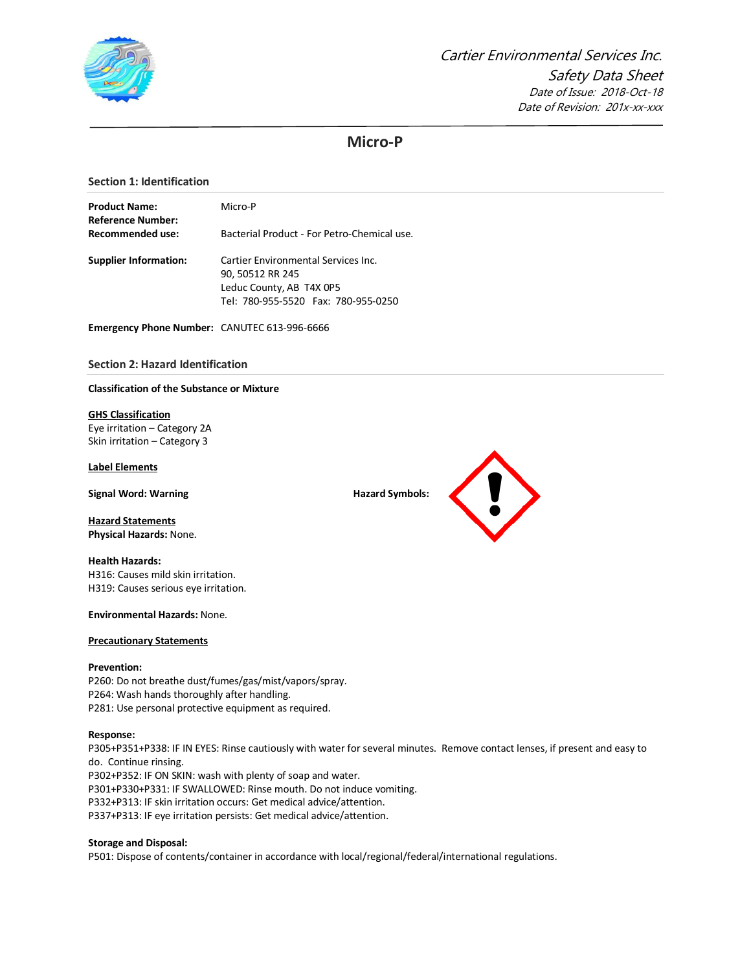

# **Micro-P**

## **Section 1: Identification**

| <b>Product Name:</b>                  | Micro-P                                                         |  |  |  |  |
|---------------------------------------|-----------------------------------------------------------------|--|--|--|--|
| Reference Number:<br>Recommended use: | Bacterial Product - For Petro-Chemical use.                     |  |  |  |  |
| <b>Supplier Information:</b>          | Cartier Environmental Services Inc.<br>90, 50512 RR 245         |  |  |  |  |
|                                       | Leduc County, AB T4X 0P5<br>Tel: 780-955-5520 Fax: 780-955-0250 |  |  |  |  |

**Emergency Phone Number:** CANUTEC 613-996-6666

# **Section 2: Hazard Identification**

### **Classification of the Substance or Mixture**

### **GHS Classification**

Eye irritation – Category 2A Skin irritation – Category 3

## **Label Elements**

**Signal Word: Warning Hazard Symbols: Hazard Symbols: Hazard Symbols: Hazard Symbols: Hazard Symbols: Hazard Symbols: Hazard Symbols: Hazard Symbols: Hazard Symbols: Hazard Symbols: Hazard Sym** 

**Hazard Statements Physical Hazards:** None.

# **Health Hazards:** H316: Causes mild skin irritation. H319: Causes serious eye irritation.

**Environmental Hazards:** None.

#### **Precautionary Statements**

### **Prevention:**

P260: Do not breathe dust/fumes/gas/mist/vapors/spray. P264: Wash hands thoroughly after handling. P281: Use personal protective equipment as required.

#### **Response:**

P305+P351+P338: IF IN EYES: Rinse cautiously with water for several minutes. Remove contact lenses, if present and easy to do. Continue rinsing. P302+P352: IF ON SKIN: wash with plenty of soap and water. P301+P330+P331: IF SWALLOWED: Rinse mouth. Do not induce vomiting. P332+P313: IF skin irritation occurs: Get medical advice/attention. P337+P313: IF eye irritation persists: Get medical advice/attention.

### **Storage and Disposal:**

P501: Dispose of contents/container in accordance with local/regional/federal/international regulations.

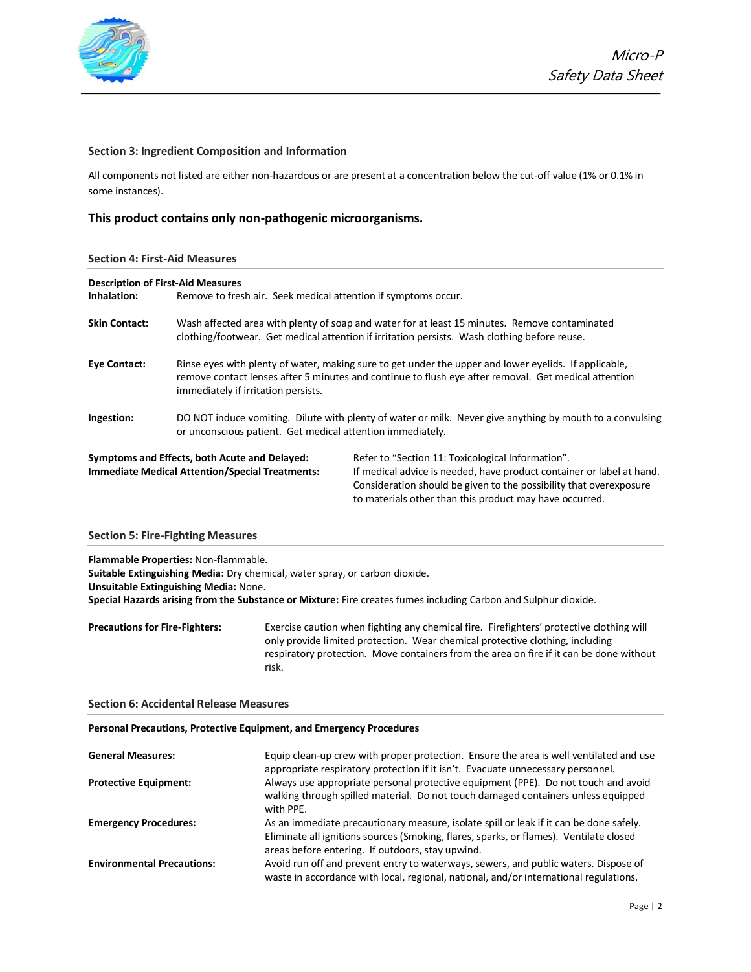

# **Section 3: Ingredient Composition and Information**

All components not listed are either non-hazardous or are present at a concentration below the cut-off value (1% or 0.1% in some instances).

# **This product contains only non-pathogenic microorganisms.**

### **Section 4: First-Aid Measures**

| <b>Description of First-Aid Measures</b> |                                                                                                                                                                                               |                                                                                                                                                                                                                                                             |  |
|------------------------------------------|-----------------------------------------------------------------------------------------------------------------------------------------------------------------------------------------------|-------------------------------------------------------------------------------------------------------------------------------------------------------------------------------------------------------------------------------------------------------------|--|
| Inhalation:                              | Remove to fresh air. Seek medical attention if symptoms occur.                                                                                                                                |                                                                                                                                                                                                                                                             |  |
| <b>Skin Contact:</b>                     | Wash affected area with plenty of soap and water for at least 15 minutes. Remove contaminated<br>clothing/footwear. Get medical attention if irritation persists. Wash clothing before reuse. |                                                                                                                                                                                                                                                             |  |
| <b>Eye Contact:</b>                      | immediately if irritation persists.                                                                                                                                                           | Rinse eyes with plenty of water, making sure to get under the upper and lower eyelids. If applicable,<br>remove contact lenses after 5 minutes and continue to flush eye after removal. Get medical attention                                               |  |
| Ingestion:                               | or unconscious patient. Get medical attention immediately.                                                                                                                                    | DO NOT induce vomiting. Dilute with plenty of water or milk. Never give anything by mouth to a convulsing                                                                                                                                                   |  |
|                                          | Symptoms and Effects, both Acute and Delayed:<br><b>Immediate Medical Attention/Special Treatments:</b>                                                                                       | Refer to "Section 11: Toxicological Information".<br>If medical advice is needed, have product container or label at hand.<br>Consideration should be given to the possibility that overexposure<br>to materials other than this product may have occurred. |  |

### **Section 5: Fire-Fighting Measures**

**Flammable Properties:** Non-flammable.

**Suitable Extinguishing Media:** Dry chemical, water spray, or carbon dioxide. **Unsuitable Extinguishing Media:** None. **Special Hazards arising from the Substance or Mixture:** Fire creates fumes including Carbon and Sulphur dioxide.

**Precautions for Fire-Fighters:** Exercise caution when fighting any chemical fire. Firefighters' protective clothing will only provide limited protection. Wear chemical protective clothing, including respiratory protection. Move containers from the area on fire if it can be done without risk.

### **Section 6: Accidental Release Measures**

### **Personal Precautions, Protective Equipment, and Emergency Procedures**

| <b>General Measures:</b>          | Equip clean-up crew with proper protection. Ensure the area is well ventilated and use<br>appropriate respiratory protection if it isn't. Evacuate unnecessary personnel.                                                            |
|-----------------------------------|--------------------------------------------------------------------------------------------------------------------------------------------------------------------------------------------------------------------------------------|
| <b>Protective Equipment:</b>      | Always use appropriate personal protective equipment (PPE). Do not touch and avoid<br>walking through spilled material. Do not touch damaged containers unless equipped<br>with PPE.                                                 |
| <b>Emergency Procedures:</b>      | As an immediate precautionary measure, isolate spill or leak if it can be done safely.<br>Eliminate all ignitions sources (Smoking, flares, sparks, or flames). Ventilate closed<br>areas before entering. If outdoors, stay upwind. |
| <b>Environmental Precautions:</b> | Avoid run off and prevent entry to waterways, sewers, and public waters. Dispose of<br>waste in accordance with local, regional, national, and/or international regulations.                                                         |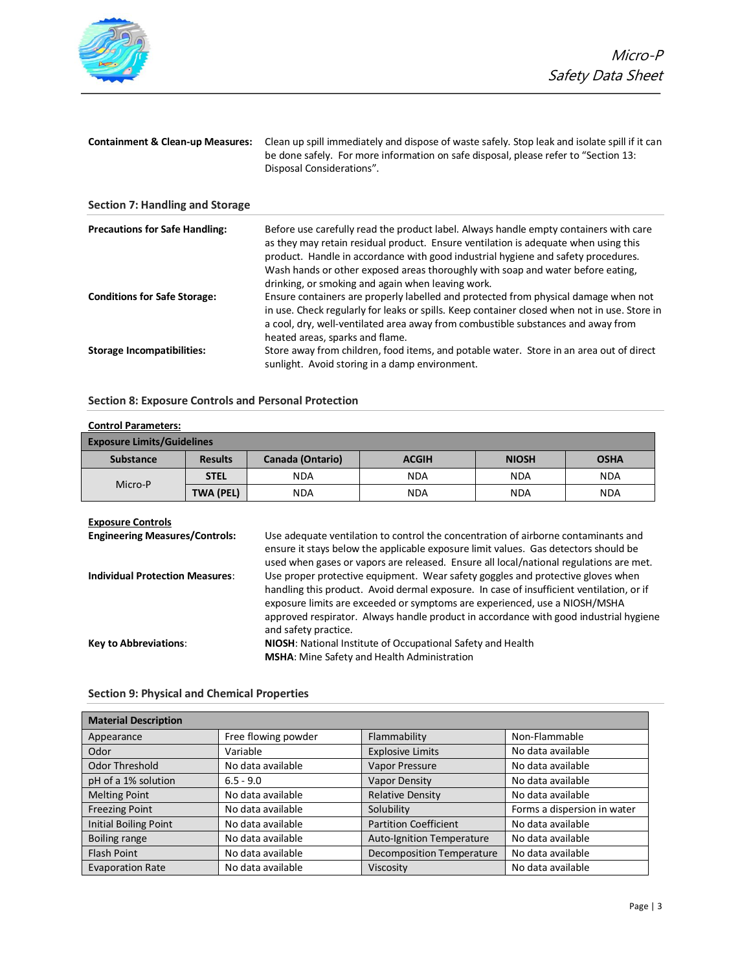

| <b>Containment &amp; Clean-up Measures:</b> | Clean up spill immediately and dispose of waste safely. Stop leak and isolate spill if it can<br>be done safely. For more information on safe disposal, please refer to "Section 13:<br>Disposal Considerations".                                                                                                                                                                                         |
|---------------------------------------------|-----------------------------------------------------------------------------------------------------------------------------------------------------------------------------------------------------------------------------------------------------------------------------------------------------------------------------------------------------------------------------------------------------------|
| <b>Section 7: Handling and Storage</b>      |                                                                                                                                                                                                                                                                                                                                                                                                           |
| <b>Precautions for Safe Handling:</b>       | Before use carefully read the product label. Always handle empty containers with care<br>as they may retain residual product. Ensure ventilation is adequate when using this<br>product. Handle in accordance with good industrial hygiene and safety procedures.<br>Wash hands or other exposed areas thoroughly with soap and water before eating,<br>drinking, or smoking and again when leaving work. |
| <b>Conditions for Safe Storage:</b>         | Ensure containers are properly labelled and protected from physical damage when not<br>in use. Check regularly for leaks or spills. Keep container closed when not in use. Store in<br>a cool, dry, well-ventilated area away from combustible substances and away from<br>heated areas, sparks and flame.                                                                                                |
| <b>Storage Incompatibilities:</b>           | Store away from children, food items, and potable water. Store in an area out of direct<br>sunlight. Avoid storing in a damp environment.                                                                                                                                                                                                                                                                 |

# **Section 8: Exposure Controls and Personal Protection**

| <b>Control Parameters:</b>        |                  |                         |              |              |             |
|-----------------------------------|------------------|-------------------------|--------------|--------------|-------------|
| <b>Exposure Limits/Guidelines</b> |                  |                         |              |              |             |
| <b>Substance</b>                  | <b>Results</b>   | <b>Canada (Ontario)</b> | <b>ACGIH</b> | <b>NIOSH</b> | <b>OSHA</b> |
| Micro-P                           | <b>STEL</b>      | <b>NDA</b>              | <b>NDA</b>   | <b>NDA</b>   | <b>NDA</b>  |
|                                   | <b>TWA (PEL)</b> | <b>NDA</b>              | <b>NDA</b>   | <b>NDA</b>   | <b>NDA</b>  |

## **Exposure Controls**

| <b>Engineering Measures/Controls:</b>  | Use adequate ventilation to control the concentration of airborne contaminants and<br>ensure it stays below the applicable exposure limit values. Gas detectors should be<br>used when gases or vapors are released. Ensure all local/national regulations are met.                                                                                                        |
|----------------------------------------|----------------------------------------------------------------------------------------------------------------------------------------------------------------------------------------------------------------------------------------------------------------------------------------------------------------------------------------------------------------------------|
| <b>Individual Protection Measures:</b> | Use proper protective equipment. Wear safety goggles and protective gloves when<br>handling this product. Avoid dermal exposure. In case of insufficient ventilation, or if<br>exposure limits are exceeded or symptoms are experienced, use a NIOSH/MSHA<br>approved respirator. Always handle product in accordance with good industrial hygiene<br>and safety practice. |
| <b>Key to Abbreviations:</b>           | NIOSH: National Institute of Occupational Safety and Health<br><b>MSHA:</b> Mine Safety and Health Administration                                                                                                                                                                                                                                                          |

| <b>Material Description</b>  |                     |                                  |                             |
|------------------------------|---------------------|----------------------------------|-----------------------------|
| Appearance                   | Free flowing powder | Flammability                     | Non-Flammable               |
| Odor                         | Variable            | <b>Explosive Limits</b>          | No data available           |
| Odor Threshold               | No data available   | <b>Vapor Pressure</b>            | No data available           |
| pH of a 1% solution          | $6.5 - 9.0$         | <b>Vapor Density</b>             | No data available           |
| <b>Melting Point</b>         | No data available   | <b>Relative Density</b>          | No data available           |
| <b>Freezing Point</b>        | No data available   | Solubility                       | Forms a dispersion in water |
| <b>Initial Boiling Point</b> | No data available   | <b>Partition Coefficient</b>     | No data available           |
| <b>Boiling range</b>         | No data available   | Auto-Ignition Temperature        | No data available           |
| <b>Flash Point</b>           | No data available   | <b>Decomposition Temperature</b> | No data available           |
| <b>Evaporation Rate</b>      | No data available   | Viscosity                        | No data available           |

# **Section 9: Physical and Chemical Properties**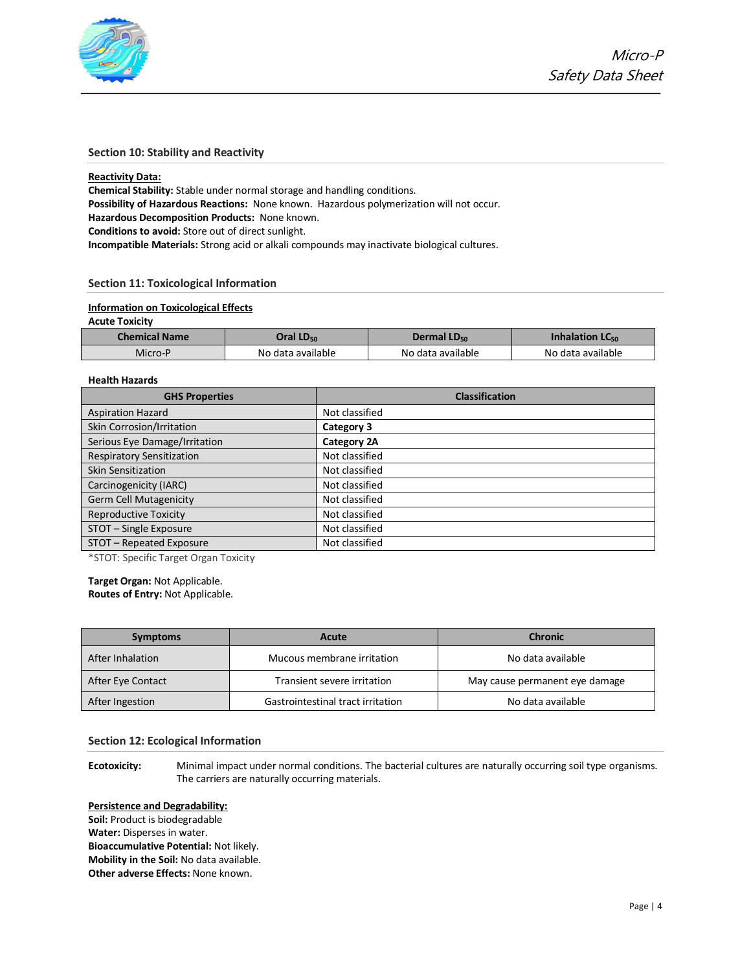

## **Section 10: Stability and Reactivity**

### **Reactivity Data:**

**Chemical Stability:** Stable under normal storage and handling conditions. **Possibility of Hazardous Reactions:** None known. Hazardous polymerization will not occur.

**Hazardous Decomposition Products:** None known.

**Conditions to avoid:** Store out of direct sunlight.

**Incompatible Materials:** Strong acid or alkali compounds may inactivate biological cultures.

# **Section 11: Toxicological Information**

## **Information on Toxicological Effects**

### **Acute Toxicity**

| <b>Chemical Name</b> | Oral LD <sub>50</sub> | Dermal LD <sub>50</sub> | Inhalation $LC_{50}$ |
|----------------------|-----------------------|-------------------------|----------------------|
| Micro-P              | No data available     | No data available       | No data available    |

# **Health Hazards**

| <b>GHS Properties</b>            | <b>Classification</b> |
|----------------------------------|-----------------------|
| <b>Aspiration Hazard</b>         | Not classified        |
| Skin Corrosion/Irritation        | Category 3            |
| Serious Eye Damage/Irritation    | Category 2A           |
| <b>Respiratory Sensitization</b> | Not classified        |
| Skin Sensitization               | Not classified        |
| Carcinogenicity (IARC)           | Not classified        |
| Germ Cell Mutagenicity           | Not classified        |
| <b>Reproductive Toxicity</b>     | Not classified        |
| STOT - Single Exposure           | Not classified        |
| STOT - Repeated Exposure         | Not classified        |

\*STOT: Specific Target Organ Toxicity

**Target Organ:** Not Applicable. **Routes of Entry:** Not Applicable.

| <b>Symptoms</b>   | <b>Acute</b>                      | <b>Chronic</b>                 |
|-------------------|-----------------------------------|--------------------------------|
| After Inhalation  | Mucous membrane irritation        | No data available              |
| After Eye Contact | Transient severe irritation       | May cause permanent eye damage |
| After Ingestion   | Gastrointestinal tract irritation | No data available              |

### **Section 12: Ecological Information**

**Ecotoxicity:** Minimal impact under normal conditions. The bacterial cultures are naturally occurring soil type organisms. The carriers are naturally occurring materials.

### **Persistence and Degradability:**

**Soil:** Product is biodegradable **Water:** Disperses in water. **Bioaccumulative Potential:** Not likely. **Mobility in the Soil:** No data available. **Other adverse Effects:** None known.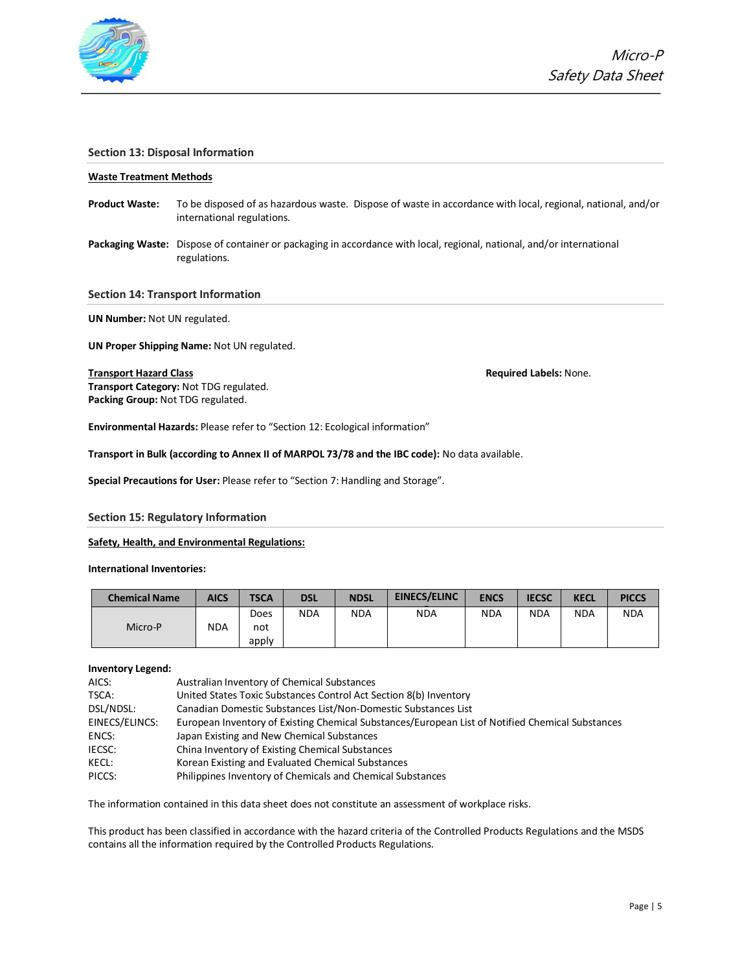

## **Section 13: Disposal Information**

### **Waste Treatment Methods**

- **Product Waste:** To be disposed of as hazardous waste. Dispose of waste in accordance with local, regional, national, and/or international regulations.
- **Packaging Waste:** Dispose of container or packaging in accordance with local, regional, national, and/or international regulations.

### **Section 14: Transport Information**

**UN Number:** Not UN regulated.

**UN Proper Shipping Name:** Not UN regulated.

**Transport Hazard Class Required Labels:** None.

**Transport Category:** Not TDG regulated. **Packing Group:** Not TDG regulated.

**Environmental Hazards:** Please refer to "Section 12: Ecological information"

**Transport in Bulk (according to Annex II of MARPOL 73/78 and the IBC code):** No data available.

**Special Precautions for User:** Please refer to "Section 7: Handling and Storage".

### **Section 15: Regulatory Information**

### **Safety, Health, and Environmental Regulations:**

**International Inventories:**

| <b>Chemical Name</b> | <b>AICS</b> | <b>TSCA</b> | <b>DSL</b> | <b>NDSL</b> | <b>EINECS/ELINC</b> | <b>ENCS</b> | <b>IECSC</b> | <b>KECL</b> | <b>PICCS</b> |
|----------------------|-------------|-------------|------------|-------------|---------------------|-------------|--------------|-------------|--------------|
|                      |             | Does        | <b>NDA</b> | <b>NDA</b>  | <b>NDA</b>          | <b>NDA</b>  | <b>NDA</b>   | <b>NDA</b>  | <b>NDA</b>   |
| Micro-P              | <b>NDA</b>  | not         |            |             |                     |             |              |             |              |
|                      |             | apply       |            |             |                     |             |              |             |              |

### **Inventory Legend:**

| AICS:          | Australian Inventory of Chemical Substances                                                      |
|----------------|--------------------------------------------------------------------------------------------------|
| TSCA:          | United States Toxic Substances Control Act Section 8(b) Inventory                                |
| DSL/NDSL:      | Canadian Domestic Substances List/Non-Domestic Substances List                                   |
| EINECS/ELINCS: | European Inventory of Existing Chemical Substances/European List of Notified Chemical Substances |
| ENCS:          | Japan Existing and New Chemical Substances                                                       |
| IECSC:         | China Inventory of Existing Chemical Substances                                                  |
| KECL:          | Korean Existing and Evaluated Chemical Substances                                                |
| PICCS:         | Philippines Inventory of Chemicals and Chemical Substances                                       |

The information contained in this data sheet does not constitute an assessment of workplace risks.

This product has been classified in accordance with the hazard criteria of the Controlled Products Regulations and the MSDS contains all the information required by the Controlled Products Regulations.